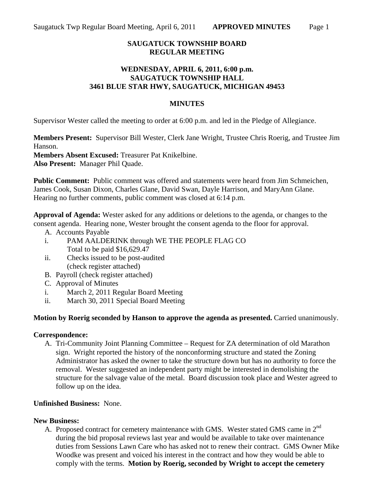# **SAUGATUCK TOWNSHIP BOARD REGULAR MEETING**

## **WEDNESDAY, APRIL 6, 2011, 6:00 p.m. SAUGATUCK TOWNSHIP HALL 3461 BLUE STAR HWY, SAUGATUCK, MICHIGAN 49453**

## **MINUTES**

Supervisor Wester called the meeting to order at 6:00 p.m. and led in the Pledge of Allegiance.

**Members Present:** Supervisor Bill Wester, Clerk Jane Wright, Trustee Chris Roerig, and Trustee Jim Hanson.

**Members Absent Excused:** Treasurer Pat Knikelbine. **Also Present:** Manager Phil Quade.

**Public Comment:** Public comment was offered and statements were heard from Jim Schmeichen, James Cook, Susan Dixon, Charles Glane, David Swan, Dayle Harrison, and MaryAnn Glane. Hearing no further comments, public comment was closed at 6:14 p.m.

**Approval of Agenda:** Wester asked for any additions or deletions to the agenda, or changes to the consent agenda. Hearing none, Wester brought the consent agenda to the floor for approval.

- A. Accounts Payable
- i. PAM AALDERINK through WE THE PEOPLE FLAG CO Total to be paid \$16,629.47
- ii. Checks issued to be post-audited (check register attached)
- B. Payroll (check register attached)
- C. Approval of Minutes
- i. March 2, 2011 Regular Board Meeting
- ii. March 30, 2011 Special Board Meeting

#### **Motion by Roerig seconded by Hanson to approve the agenda as presented.** Carried unanimously.

#### **Correspondence:**

A. Tri-Community Joint Planning Committee – Request for ZA determination of old Marathon sign. Wright reported the history of the nonconforming structure and stated the Zoning Administrator has asked the owner to take the structure down but has no authority to force the removal. Wester suggested an independent party might be interested in demolishing the structure for the salvage value of the metal. Board discussion took place and Wester agreed to follow up on the idea.

#### **Unfinished Business:** None.

#### **New Business:**

A. Proposed contract for cemetery maintenance with GMS. Wester stated GMS came in 2<sup>nd</sup> during the bid proposal reviews last year and would be available to take over maintenance duties from Sessions Lawn Care who has asked not to renew their contract. GMS Owner Mike Woodke was present and voiced his interest in the contract and how they would be able to comply with the terms. **Motion by Roerig, seconded by Wright to accept the cemetery**